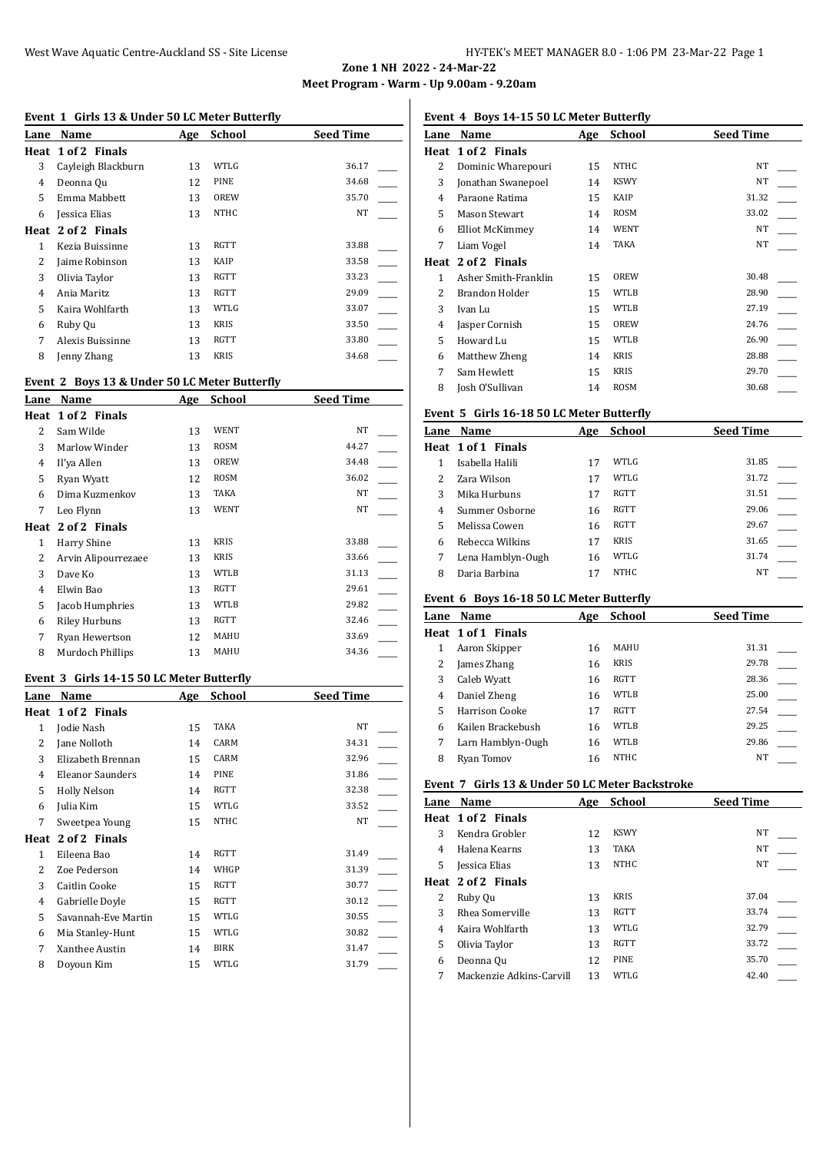## **Event 1 Girls 13 & Under 50 LC Meter Butterfly**

| Lane | Name               | Age | <b>School</b> | <b>Seed Time</b> |
|------|--------------------|-----|---------------|------------------|
|      | Heat 1 of 2 Finals |     |               |                  |
| 3    | Cayleigh Blackburn | 13  | WTLG          | 36.17            |
| 4    | Deonna Qu          | 12  | PINE          | 34.68            |
| 5    | Emma Mabbett       | 13  | OREW          | 35.70            |
| 6    | Jessica Elias      | 13  | <b>NTHC</b>   | NT               |
| Heat | 2 of 2 Finals      |     |               |                  |
| 1    | Kezia Buissinne    | 13  | RGTT          | 33.88            |
| 2    | Jaime Robinson     | 13  | KAIP          | 33.58            |
| 3    | Olivia Taylor      | 13  | RGTT          | 33.23            |
| 4    | Ania Maritz        | 13  | RGTT          | 29.09            |
| 5    | Kaira Wohlfarth    | 13  | WTLG          | 33.07            |
| 6    | Ruby Ou            | 13  | <b>KRIS</b>   | 33.50            |
| 7    | Alexis Buissinne   | 13  | RGTT          | 33.80            |
| 8    | Jenny Zhang        | 13  | <b>KRIS</b>   | 34.68            |
|      |                    |     |               |                  |

# **Event 2 Boys 13 & Under 50 LC Meter Butterfly**

| Lane | Name                | Age | School      | <b>Seed Time</b> |
|------|---------------------|-----|-------------|------------------|
|      | Heat 1 of 2 Finals  |     |             |                  |
| 2    | Sam Wilde           | 13  | <b>WENT</b> | NT               |
| 3    | Marlow Winder       | 13  | ROSM        | 44.27            |
| 4    | Il'ya Allen         | 13  | OREW        | 34.48            |
| 5    | Ryan Wyatt          | 12  | <b>ROSM</b> | 36.02            |
| 6    | Dima Kuzmenkov      | 13  | TAKA        | NT               |
| 7    | Leo Flynn           | 13  | WENT        | NT               |
|      | Heat 2 of 2 Finals  |     |             |                  |
| 1    | Harry Shine         | 13  | <b>KRIS</b> | 33.88            |
| 2    | Arvin Alipourrezaee | 13  | <b>KRIS</b> | 33.66            |
| 3    | Dave Ko             | 13  | WTLB        | 31.13            |
| 4    | Elwin Bao           | 13  | <b>RGTT</b> | 29.61            |
| 5    | Jacob Humphries     | 13  | <b>WTLB</b> | 29.82            |
| 6    | Riley Hurbuns       | 13  | <b>RGTT</b> | 32.46            |
| 7    | Ryan Hewertson      | 12  | MAHU        | 33.69            |
| 8    | Murdoch Phillips    | 13  | MAHU        | 34.36            |

#### **Event 3 Girls 14-15 50 LC Meter Butterfly**

| Lane | Name                | Age | <b>School</b> | <b>Seed Time</b> |
|------|---------------------|-----|---------------|------------------|
| Heat | 1 of 2 Finals       |     |               |                  |
| 1    | Jodie Nash          | 15  | TAKA          | NT               |
| 2    | Jane Nolloth        | 14  | CARM          | 34.31            |
| 3    | Elizabeth Brennan   | 15  | CARM          | 32.96            |
| 4    | Eleanor Saunders    | 14  | PINE          | 31.86            |
| 5    | Holly Nelson        | 14  | RGTT          | 32.38            |
| 6    | Julia Kim           | 15  | WTLG          | 33.52            |
| 7    | Sweetpea Young      | 15  | <b>NTHC</b>   | NT               |
| Heat | 2 of 2 Finals       |     |               |                  |
| 1    | Eileena Bao         | 14  | <b>RGTT</b>   | 31.49            |
| 2    | Zoe Pederson        | 14  | WHGP          | 31.39            |
| 3    | Caitlin Cooke       | 15  | RGTT          | 30.77            |
| 4    | Gabrielle Doyle     | 15  | RGTT          | 30.12            |
| 5    | Savannah-Eve Martin | 15  | WTLG          | 30.55            |
| 6    | Mia Stanley-Hunt    | 15  | WTLG          | 30.82            |
| 7    | Xanthee Austin      | 14  | BIRK          | 31.47            |
| 8    | Doyoun Kim          | 15  | WTLG          | 31.79            |

# **Event 4 Boys 14-15 50 LC Meter Butterfly**

| Lane | Name                 | Age | School      | <b>Seed Time</b> |
|------|----------------------|-----|-------------|------------------|
| Heat | 1 of 2 Finals        |     |             |                  |
| 2    | Dominic Wharepouri   | 15  | <b>NTHC</b> | <b>NT</b>        |
| 3    | Jonathan Swanepoel   | 14  | <b>KSWY</b> | <b>NT</b>        |
| 4    | Paraone Ratima       | 15  | KAIP        | 31.32            |
| 5    | <b>Mason Stewart</b> | 14  | ROSM        | 33.02            |
| 6    | Elliot McKimmey      | 14  | WENT        | NT               |
| 7    | Liam Vogel           | 14  | TAKA        | <b>NT</b>        |
| Heat | 2 of 2 Finals        |     |             |                  |
| 1    | Asher Smith-Franklin | 15  | OREW        | 30.48            |
| 2    | Brandon Holder       | 15  | WTLB        | 28.90            |
| 3    | Ivan Lu              | 15  | WTLB        | 27.19            |
| 4    | Jasper Cornish       | 15  | OREW        | 24.76            |
| 5    | Howard Lu            | 15  | <b>WTLB</b> | 26.90            |
| 6    | Matthew Zheng        | 14  | <b>KRIS</b> | 28.88            |
| 7    | Sam Hewlett          | 15  | <b>KRIS</b> | 29.70            |
| 8    | Iosh O'Sullivan      | 14  | ROSM        | 30.68            |

## **Event 5 Girls 16-18 50 LC Meter Butterfly**

| Lane | Name               | Age | <b>School</b>    | <b>Seed Time</b> |
|------|--------------------|-----|------------------|------------------|
|      | Heat 1 of 1 Finals |     |                  |                  |
|      | Isabella Halili    | 17  | WTLG             | 31.85            |
|      | Zara Wilson        | 17  | WTLG             | 31.72            |
| 3    | Mika Hurbuns       | 17  | RGTT             | 31.51            |
| 4    | Summer Osborne     | 16  | <b>RGTT</b>      | 29.06            |
| 5    | Melissa Cowen      | 16  | <b>RGTT</b>      | 29.67            |
| 6    | Rebecca Wilkins    | 17  | <b>KRIS</b>      | 31.65            |
| 7    | Lena Hamblyn-Ough  | 16  | WTLG             | 31.74            |
| 8    | Daria Barbina      | 17  | NTH <sub>C</sub> | NT               |
|      |                    |     |                  |                  |

# **Event 6 Boys 16-18 50 LC Meter Butterfly**

| Lane | <b>Name</b>        | Age | <b>School</b> | <b>Seed Time</b> |
|------|--------------------|-----|---------------|------------------|
|      | Heat 1 of 1 Finals |     |               |                  |
|      | Aaron Skipper      | 16  | MAHU          | 31.31            |
|      | James Zhang        | 16  | <b>KRIS</b>   | 29.78            |
| 3    | Caleb Wyatt        | 16  | <b>RGTT</b>   | 28.36            |
| 4    | Daniel Zheng       | 16  | WTLB          | 25.00            |
| 5    | Harrison Cooke     | 17  | RGTT          | 27.54            |
| 6    | Kailen Brackebush  | 16  | WTLB          | 29.25            |
|      | Larn Hamblyn-Ough  | 16  | WTLB          | 29.86            |
| 8    | Ryan Tomov         | 16  | <b>NTHC</b>   | NT               |

## **Event 7 Girls 13 & Under 50 LC Meter Backstroke**

| Name                     | Age | <b>School</b> | <b>Seed Time</b> |
|--------------------------|-----|---------------|------------------|
| Heat 1 of 2 Finals       |     |               |                  |
| Kendra Grobler           | 12  | <b>KSWY</b>   | <b>NT</b>        |
| Halena Kearns            | 13  | TAKA          | NT               |
| Jessica Elias            | 13  | <b>NTHC</b>   | NT               |
| Heat 2 of 2 Finals       |     |               |                  |
| Ruby Ou                  | 13  | <b>KRIS</b>   | 37.04            |
| Rhea Somerville          | 13  | <b>RGTT</b>   | 33.74            |
| Kaira Wohlfarth          | 13  | WTLG          | 32.79            |
| Olivia Taylor            | 13  | <b>RGTT</b>   | 33.72            |
| Deonna Qu                | 12  | PINE          | 35.70            |
| Mackenzie Adkins-Carvill | 13  | <b>WTLG</b>   | 42.40            |
|                          |     |               |                  |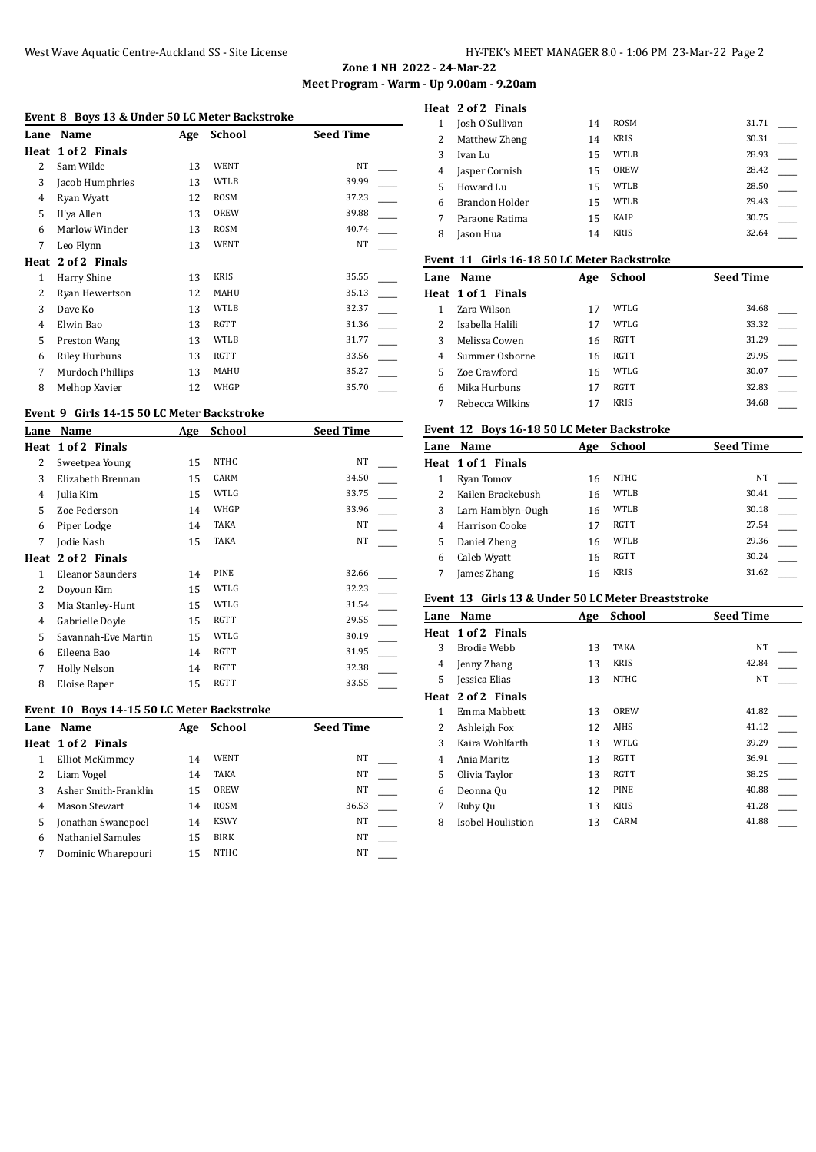#### **Event 8 Boys 13 & Under 50 LC Meter Backstroke**

| Lane           | Name                 | Age | <b>School</b> | <b>Seed Time</b> |
|----------------|----------------------|-----|---------------|------------------|
|                | Heat 1 of 2 Finals   |     |               |                  |
| 2              | Sam Wilde            | 13  | <b>WENT</b>   | NT               |
| 3              | Jacob Humphries      | 13  | <b>WTLB</b>   | 39.99            |
| 4              | Ryan Wyatt           | 12  | ROSM          | 37.23            |
| 5              | Il'ya Allen          | 13  | OREW          | 39.88            |
| 6              | Marlow Winder        | 13  | <b>ROSM</b>   | 40.74            |
| 7              | Leo Flynn            | 13  | WENT          | NT               |
| Heat           | 2 of 2 Finals        |     |               |                  |
| 1              | Harry Shine          | 13  | <b>KRIS</b>   | 35.55            |
| 2              | Ryan Hewertson       | 12  | MAHU          | 35.13            |
| 3              | Dave Ko              | 13  | WTLB          | 32.37            |
| $\overline{4}$ | Elwin Bao            | 13  | <b>RGTT</b>   | 31.36            |
| 5              | Preston Wang         | 13  | <b>WTLB</b>   | 31.77            |
| 6              | <b>Riley Hurbuns</b> | 13  | RGTT          | 33.56            |
| 7              | Murdoch Phillips     | 13  | MAHU          | 35.27            |
| 8              | Melhop Xavier        | 12  | WHGP          | 35.70            |

## **Event 9 Girls 14-15 50 LC Meter Backstroke**

| Lane | Name                | Age | <b>School</b> | Seed Time |
|------|---------------------|-----|---------------|-----------|
|      | Heat 1 of 2 Finals  |     |               |           |
| 2    | Sweetpea Young      | 15  | NTHC          | NT        |
| 3    | Elizabeth Brennan   | 15  | CARM          | 34.50     |
| 4    | Julia Kim           | 15  | WTLG          | 33.75     |
| 5    | Zoe Pederson        | 14  | WHGP          | 33.96     |
| 6    | Piper Lodge         | 14  | TAKA          | <b>NT</b> |
| 7    | Jodie Nash          | 15  | TAKA          | NT        |
|      | Heat 2 of 2 Finals  |     |               |           |
| 1    | Eleanor Saunders    | 14  | PINE          | 32.66     |
| 2    | Doyoun Kim          | 15  | WTLG          | 32.23     |
| 3    | Mia Stanley-Hunt    | 15  | WTLG          | 31.54     |
| 4    | Gabrielle Doyle     | 15  | RGTT          | 29.55     |
| 5    | Savannah-Eve Martin | 15  | WTLG          | 30.19     |
| 6    | Eileena Bao         | 14  | <b>RGTT</b>   | 31.95     |
| 7    | Holly Nelson        | 14  | <b>RGTT</b>   | 32.38     |
| 8    | Eloise Raper        | 15  | <b>RGTT</b>   | 33.55     |

## **Event 10 Boys 14-15 50 LC Meter Backstroke**

| Lane | Name                 | Age | School      | <b>Seed Time</b> |
|------|----------------------|-----|-------------|------------------|
|      | Heat 1 of 2 Finals   |     |             |                  |
|      | Elliot McKimmey      | 14  | WENT        | NT               |
|      | Liam Vogel           | 14  | <b>TAKA</b> | NT               |
|      | Asher Smith-Franklin | 15  | OREW        | NT               |
| 4    | Mason Stewart        | 14  | <b>ROSM</b> | 36.53            |
| 5    | Jonathan Swanepoel   | 14  | <b>KSWY</b> | <b>NT</b>        |
| 6    | Nathaniel Samules    | 15  | <b>BIRK</b> | NT               |
|      | Dominic Wharepouri   | 15  | <b>NTHC</b> | <b>NT</b>        |
|      |                      |     |             |                  |

#### **Heat 2 of 2 Finals**

|    | 1606 <i>- 601 -</i> 7111013 |    |             |       |  |
|----|-----------------------------|----|-------------|-------|--|
|    | Josh O'Sullivan             | 14 | <b>ROSM</b> | 31.71 |  |
|    | Matthew Zheng               | 14 | <b>KRIS</b> | 30.31 |  |
| 3  | Ivan Lu                     | 15 | WTLB        | 28.93 |  |
| 4  | Jasper Cornish              | 15 | OREW        | 28.42 |  |
| 5. | Howard Lu                   | 15 | WTLB        | 28.50 |  |
| 6  | Brandon Holder              | 15 | WTLB        | 29.43 |  |
|    | Paraone Ratima              | 15 | KAIP        | 30.75 |  |
| 8  | Jason Hua                   | 14 | <b>KRIS</b> | 32.64 |  |
|    |                             |    |             |       |  |

# **Event 11 Girls 16-18 50 LC Meter Backstroke**

|   | Lane Name          | Age | School      | <b>Seed Time</b> |
|---|--------------------|-----|-------------|------------------|
|   | Heat 1 of 1 Finals |     |             |                  |
|   | Zara Wilson        | 17  | WTLG        | 34.68            |
|   | Isabella Halili    | 17  | WTLG        | 33.32            |
|   | Melissa Cowen      | 16  | RGTT        | 31.29            |
| 4 | Summer Osborne     | 16  | RGTT        | 29.95            |
|   | Zoe Crawford       | 16  | WTLG        | 30.07            |
| 6 | Mika Hurbuns       | 17  | RGTT        | 32.83            |
|   | Rebecca Wilkins    |     | <b>KRIS</b> | 34.68            |

#### **Event 12 Boys 16-18 50 LC Meter Backstroke**

| Lane | Name               | Age | <b>School</b> | <b>Seed Time</b> |
|------|--------------------|-----|---------------|------------------|
|      | Heat 1 of 1 Finals |     |               |                  |
|      | Ryan Tomov         | 16  | NTHC          | NT               |
|      | Kailen Brackebush  | 16  | WTLB          | 30.41            |
| 3    | Larn Hamblyn-Ough  | 16  | WTLB          | 30.18            |
| 4    | Harrison Cooke     | 17  | <b>RGTT</b>   | 27.54            |
| 5    | Daniel Zheng       | 16  | WTLB          | 29.36            |
| 6    | Caleb Wyatt        | 16  | RGTT          | 30.24            |
|      | James Zhang        | 16  | <b>KRIS</b>   | 31.62            |

# **Event 13 Girls 13 & Under 50 LC Meter Breaststroke**

| Lane | Name               | Age | <b>School</b> | <b>Seed Time</b> |
|------|--------------------|-----|---------------|------------------|
|      | Heat 1 of 2 Finals |     |               |                  |
| 3    | Brodie Webb        | 13  | TAKA          | <b>NT</b>        |
| 4    | Jenny Zhang        | 13  | <b>KRIS</b>   | 42.84            |
| 5    | Jessica Elias      | 13  | <b>NTHC</b>   | NT               |
|      | Heat 2 of 2 Finals |     |               |                  |
| 1    | Emma Mabbett       | 13  | OREW          | 41.82            |
| 2    | Ashleigh Fox       | 12  | AJHS          | 41.12            |
| 3    | Kaira Wohlfarth    | 13  | WTLG          | 39.29            |
| 4    | Ania Maritz        | 13  | RGTT          | 36.91            |
| 5    | Olivia Taylor      | 13  | RGTT          | 38.25            |
| 6    | Deonna Qu          | 12  | PINE          | 40.88            |
| 7    | Ruby Qu            | 13  | <b>KRIS</b>   | 41.28            |
| 8    | Isobel Houlistion  | 13  | CARM          | 41.88            |
|      |                    |     |               |                  |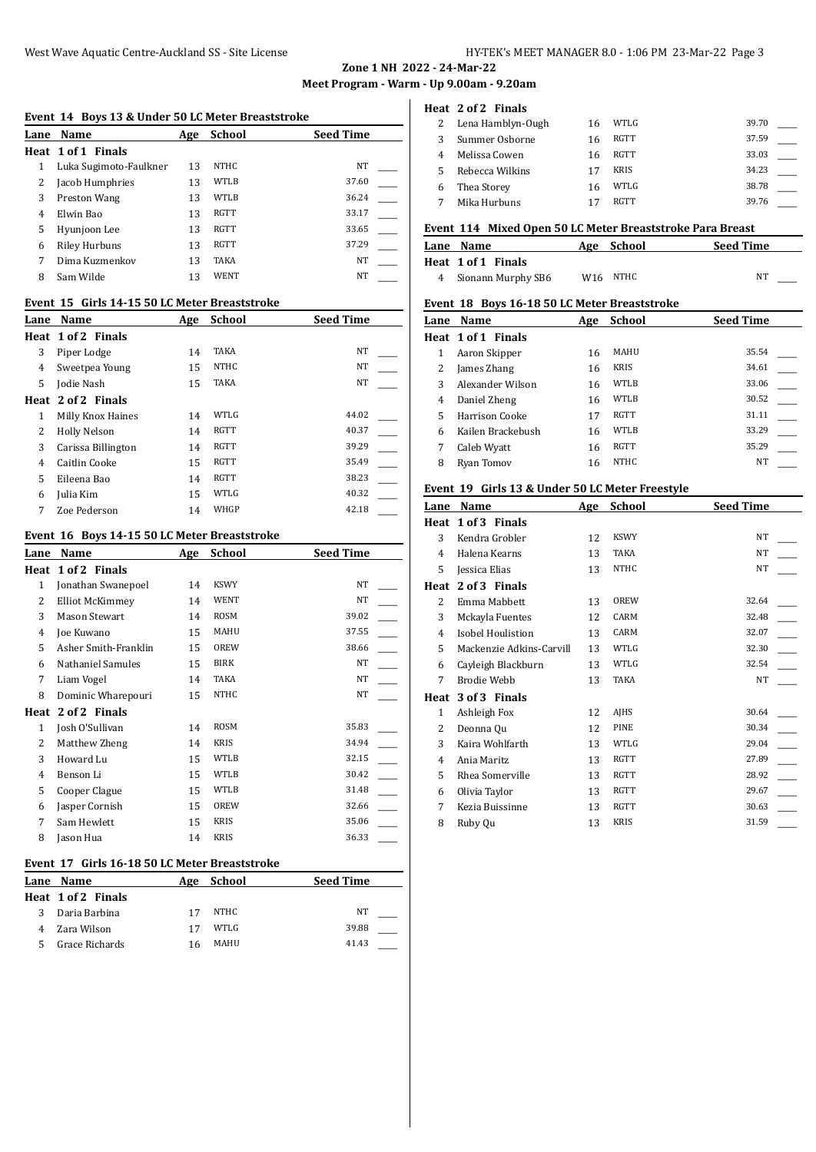#### **Event 14 Boys 13 & Under 50 LC Meter Breaststroke**

| Lane | Name                   | Age | School | <b>Seed Time</b> |  |
|------|------------------------|-----|--------|------------------|--|
|      | Heat 1 of 1 Finals     |     |        |                  |  |
|      | Luka Sugimoto-Faulkner | 13  | NTHC   | NT               |  |
|      | Jacob Humphries        | 13  | WTLB   | 37.60            |  |
| 3    | Preston Wang           | 13  | WTLB   | 36.24            |  |
| 4    | Elwin Bao              | 13  | RGTT   | 33.17            |  |
| 5    | Hyunjoon Lee           | 13  | RGTT   | 33.65            |  |
| 6    | <b>Riley Hurbuns</b>   | 13  | RGTT   | 37.29            |  |
|      | Dima Kuzmenkov         | 13  | TAKA   | NT               |  |
| 8    | Sam Wilde              | 13  | WENT   | NT               |  |
|      |                        |     |        |                  |  |

# **Event 15 Girls 14-15 50 LC Meter Breaststroke**

| Lane | Name               | Age | <b>School</b> | <b>Seed Time</b> |
|------|--------------------|-----|---------------|------------------|
|      | Heat 1 of 2 Finals |     |               |                  |
| 3    | Piper Lodge        | 14  | TAKA          | NT               |
| 4    | Sweetpea Young     | 15  | <b>NTHC</b>   | NT               |
| 5.   | Jodie Nash         | 15  | TAKA          | NT               |
|      | Heat 2 of 2 Finals |     |               |                  |
| 1    | Milly Knox Haines  | 14  | WTLG          | 44.02            |
| 2    | Holly Nelson       | 14  | RGTT          | 40.37            |
| 3    | Carissa Billington | 14  | RGTT          | 39.29            |
| 4    | Caitlin Cooke      | 15  | RGTT          | 35.49            |
| 5    | Eileena Bao        | 14  | RGTT          | 38.23            |
| 6    | Julia Kim          | 15  | WTLG          | 40.32            |
| 7    | Zoe Pederson       | 14  | WHGP          | 42.18            |

#### **Event 16 Boys 14-15 50 LC Meter Breaststroke**

| Lane | Name                 | Age | School      | Seed Time |
|------|----------------------|-----|-------------|-----------|
| Heat | 1 of 2 Finals        |     |             |           |
| 1    | Jonathan Swanepoel   | 14  | <b>KSWY</b> | <b>NT</b> |
| 2    | Elliot McKimmey      | 14  | WENT        | NT        |
| 3    | <b>Mason Stewart</b> | 14  | ROSM        | 39.02     |
| 4    | Joe Kuwano           | 15  | MAHU        | 37.55     |
| 5    | Asher Smith-Franklin | 15  | OREW        | 38.66     |
| 6    | Nathaniel Samules    | 15  | <b>BIRK</b> | NT        |
| 7    | Liam Vogel           | 14  | TAKA        | NT        |
| 8    | Dominic Wharepouri   | 15  | <b>NTHC</b> | NT        |
| Heat | 2 of 2 Finals        |     |             |           |
| 1    | Josh O'Sullivan      | 14  | <b>ROSM</b> | 35.83     |
| 2    | Matthew Zheng        | 14  | <b>KRIS</b> | 34.94     |
| 3    | Howard Lu            | 15  | <b>WTLB</b> | 32.15     |
| 4    | Benson Li            | 15  | <b>WTLB</b> | 30.42     |
| 5    | Cooper Clague        | 15  | <b>WTLB</b> | 31.48     |
| 6    | Jasper Cornish       | 15  | OREW        | 32.66     |
| 7    | Sam Hewlett          | 15  | <b>KRIS</b> | 35.06     |
| 8    | Jason Hua            | 14  | <b>KRIS</b> | 36.33     |
|      |                      |     |             |           |

# **Event 17 Girls 16-18 50 LC Meter Breaststroke**

| Lane Name          | Age | School | <b>Seed Time</b> |  |
|--------------------|-----|--------|------------------|--|
| Heat 1 of 2 Finals |     |        |                  |  |
| Daria Barbina      | 17  | NTHC   | NT               |  |
| Zara Wilson        | 17  | WTLG   | 39.88            |  |
| Grace Richards     | 16  | MAHU   | 41.43            |  |
|                    |     |        |                  |  |

#### **Heat 2 of 2 Finals**

| Lena Hamblyn-Ough | 16 | WTLG        | 39.70 |  |
|-------------------|----|-------------|-------|--|
| Summer Osborne    | 16 | RGTT        | 37.59 |  |
| Melissa Cowen     | 16 | RGTT        | 33.03 |  |
| Rebecca Wilkins   | 17 | <b>KRIS</b> | 34.23 |  |
| Thea Storey       | 16 | WTLG        | 38.78 |  |
| Mika Hurbuns      |    | <b>RGTT</b> | 39.76 |  |

# **Event 114 Mixed Open 50 LC Meter Breaststroke Para Breast**

| Lane Name          | Age School | <b>Seed Time</b> |
|--------------------|------------|------------------|
| Heat 1 of 1 Finals |            |                  |
| Sionann Murphy SB6 | W16 NTHC   | NT               |

## **Event 18 Boys 16-18 50 LC Meter Breaststroke**

| Lane | Name               | Age | <b>School</b> | <b>Seed Time</b> |
|------|--------------------|-----|---------------|------------------|
|      | Heat 1 of 1 Finals |     |               |                  |
|      | Aaron Skipper      | 16  | MAHU          | 35.54            |
|      | James Zhang        | 16  | <b>KRIS</b>   | 34.61            |
| 3    | Alexander Wilson   | 16  | WTLB          | 33.06            |
| 4    | Daniel Zheng       | 16  | WTLB          | 30.52            |
| 5    | Harrison Cooke     | 17  | <b>RGTT</b>   | 31.11            |
| 6    | Kailen Brackebush  | 16  | WTLB          | 33.29            |
| 7    | Caleb Wyatt        | 16  | <b>RGTT</b>   | 35.29            |
| 8    | Rvan Tomov         | 16  | <b>NTHC</b>   | <b>NT</b>        |

# **Event 19 Girls 13 & Under 50 LC Meter Freestyle**

| Lane | Name                     | Age | School      | <b>Seed Time</b> |  |
|------|--------------------------|-----|-------------|------------------|--|
| Heat | 1 of 3 Finals            |     |             |                  |  |
| 3    | Kendra Grobler           | 12  | <b>KSWY</b> | <b>NT</b>        |  |
| 4    | Halena Kearns            | 13  | <b>TAKA</b> | <b>NT</b>        |  |
| 5    | Jessica Elias            | 13  | <b>NTHC</b> | NT               |  |
| Heat | 2 of 3 Finals            |     |             |                  |  |
| 2    | Emma Mabbett             | 13  | OREW        | 32.64            |  |
| 3    | Mckayla Fuentes          | 12  | CARM        | 32.48            |  |
| 4    | <b>Isobel Houlistion</b> | 13  | CARM        | 32.07            |  |
| 5    | Mackenzie Adkins-Carvill | 13  | WTLG        | 32.30            |  |
| 6    | Cayleigh Blackburn       | 13  | WTLG        | 32.54            |  |
| 7    | Brodie Webb              | 13  | <b>TAKA</b> | NT               |  |
| Heat | 3 of 3 Finals            |     |             |                  |  |
| 1    | Ashleigh Fox             | 12  | AJHS        | 30.64            |  |
| 2    | Deonna Qu                | 12  | PINE        | 30.34            |  |
| 3    | Kaira Wohlfarth          | 13  | WTLG        | 29.04            |  |
| 4    | Ania Maritz              | 13  | <b>RGTT</b> | 27.89            |  |
| 5    | Rhea Somerville          | 13  | <b>RGTT</b> | 28.92            |  |
| 6    | Olivia Taylor            | 13  | <b>RGTT</b> | 29.67            |  |
| 7    | Kezia Buissinne          | 13  | <b>RGTT</b> | 30.63            |  |
| 8    | Ruby Qu                  | 13  | <b>KRIS</b> | 31.59            |  |
|      |                          |     |             |                  |  |